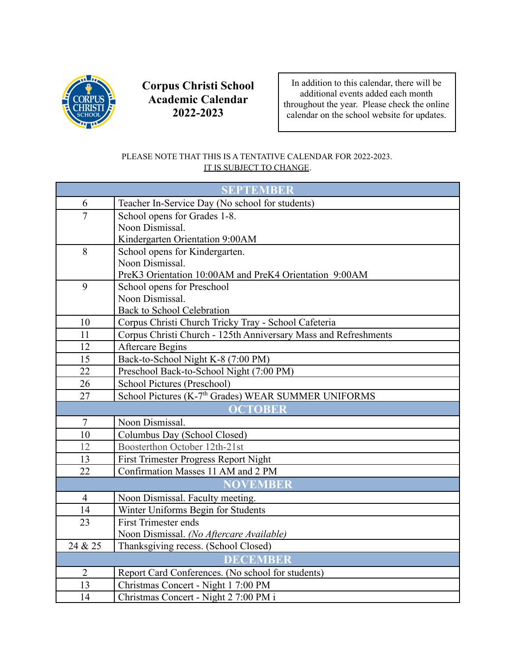

**Corpus Christi School Academic Calendar 2022-2023**

In addition to this calendar, there will be additional events added each month throughout the year. Please check the online calendar on the school website for updates.

## PLEASE NOTE THAT THIS IS A TENTATIVE CALENDAR FOR 2022-2023. IT IS SUBJECT TO CHANGE.

| <b>SEPTEMBER</b> |                                                                 |
|------------------|-----------------------------------------------------------------|
| 6                | Teacher In-Service Day (No school for students)                 |
| $\overline{7}$   | School opens for Grades 1-8.                                    |
|                  | Noon Dismissal.                                                 |
|                  | Kindergarten Orientation 9:00AM                                 |
| 8                | School opens for Kindergarten.                                  |
|                  | Noon Dismissal.                                                 |
|                  | PreK3 Orientation 10:00AM and PreK4 Orientation 9:00AM          |
| 9                | School opens for Preschool                                      |
|                  | Noon Dismissal.                                                 |
|                  | Back to School Celebration                                      |
| 10               | Corpus Christi Church Tricky Tray - School Cafeteria            |
| 11               | Corpus Christi Church - 125th Anniversary Mass and Refreshments |
| 12               | <b>Aftercare Begins</b>                                         |
| 15               | Back-to-School Night K-8 (7:00 PM)                              |
| 22               | Preschool Back-to-School Night (7:00 PM)                        |
| 26               | School Pictures (Preschool)                                     |
| 27               | School Pictures (K-7 <sup>th</sup> Grades) WEAR SUMMER UNIFORMS |
| <b>OCTOBER</b>   |                                                                 |
| $\overline{7}$   | Noon Dismissal.                                                 |
| 10               | Columbus Day (School Closed)                                    |
| 12               | Boosterthon October 12th-21st                                   |
| 13               | First Trimester Progress Report Night                           |
| 22               | Confirmation Masses 11 AM and 2 PM                              |
| <b>NOVEMBER</b>  |                                                                 |
| $\overline{4}$   | Noon Dismissal. Faculty meeting.                                |
| 14               | Winter Uniforms Begin for Students                              |
| 23               | <b>First Trimester ends</b>                                     |
|                  | Noon Dismissal. (No Aftercare Available)                        |
| 24 & 25          | Thanksgiving recess. (School Closed)                            |
| <b>DECEMBER</b>  |                                                                 |
| $\overline{2}$   | Report Card Conferences. (No school for students)               |
| 13               | Christmas Concert - Night 1 7:00 PM                             |
| 14               | Christmas Concert - Night 2 7:00 PM i                           |